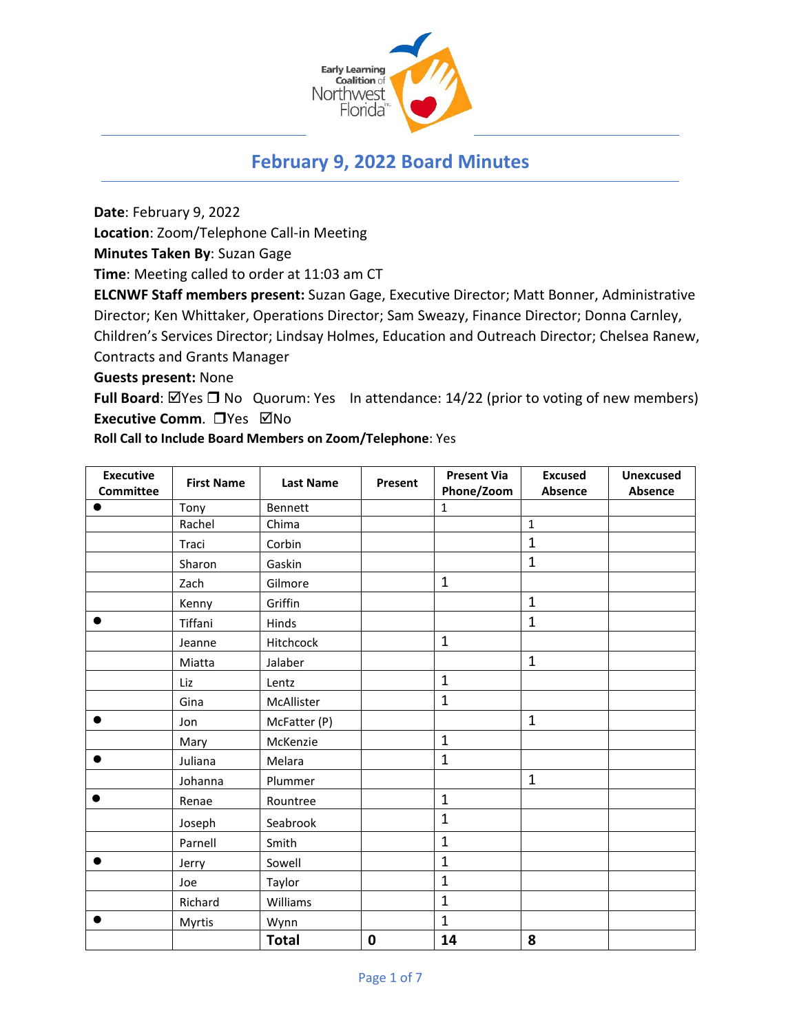

# **February 9, 2022 Board Minutes**

**Date**: February 9, 2022

**Location**: Zoom/Telephone Call-in Meeting

**Minutes Taken By**: Suzan Gage

**Time**: Meeting called to order at 11:03 am CT

**ELCNWF Staff members present:** Suzan Gage, Executive Director; Matt Bonner, Administrative Director; Ken Whittaker, Operations Director; Sam Sweazy, Finance Director; Donna Carnley, Children's Services Director; Lindsay Holmes, Education and Outreach Director; Chelsea Ranew, Contracts and Grants Manager

**Guests present:** None

**Full Board**: ⊠Yes □ No Quorum: Yes In attendance: 14/22 (prior to voting of new members) **Executive Comm.** □ Yes ⊠No

**Roll Call to Include Board Members on Zoom/Telephone**: Yes

| <b>Executive</b> | <b>First Name</b> | <b>Last Name</b> | Present | <b>Present Via</b> | <b>Excused</b> | <b>Unexcused</b> |
|------------------|-------------------|------------------|---------|--------------------|----------------|------------------|
| <b>Committee</b> |                   |                  |         | Phone/Zoom         | Absence        | Absence          |
|                  | Tony              | Bennett          |         | $\mathbf{1}$       |                |                  |
|                  | Rachel            | Chima            |         |                    | $\mathbf{1}$   |                  |
|                  | Traci             | Corbin           |         |                    | $\mathbf{1}$   |                  |
|                  | Sharon            | Gaskin           |         |                    | $\mathbf{1}$   |                  |
|                  | Zach              | Gilmore          |         | $\mathbf 1$        |                |                  |
|                  | Kenny             | Griffin          |         |                    | $\mathbf{1}$   |                  |
|                  | Tiffani           | Hinds            |         |                    | $\mathbf{1}$   |                  |
|                  | Jeanne            | Hitchcock        |         | $\mathbf{1}$       |                |                  |
|                  | Miatta            | Jalaber          |         |                    | $\mathbf{1}$   |                  |
|                  | Liz               | Lentz            |         | $\mathbf{1}$       |                |                  |
|                  | Gina              | McAllister       |         | $\mathbf{1}$       |                |                  |
|                  | Jon               | McFatter (P)     |         |                    | $\mathbf{1}$   |                  |
|                  | Mary              | McKenzie         |         | $\mathbf{1}$       |                |                  |
|                  | Juliana           | Melara           |         | $\mathbf{1}$       |                |                  |
|                  | Johanna           | Plummer          |         |                    | $\mathbf{1}$   |                  |
|                  | Renae             | Rountree         |         | $\mathbf{1}$       |                |                  |
|                  | Joseph            | Seabrook         |         | $\mathbf{1}$       |                |                  |
|                  | Parnell           | Smith            |         | $\mathbf{1}$       |                |                  |
|                  | Jerry             | Sowell           |         | $\mathbf{1}$       |                |                  |
|                  | Joe               | Taylor           |         | $\mathbf{1}$       |                |                  |
|                  | Richard           | Williams         |         | $\mathbf{1}$       |                |                  |
|                  | Myrtis            | Wynn             |         | $\mathbf{1}$       |                |                  |
|                  |                   | <b>Total</b>     | 0       | 14                 | 8              |                  |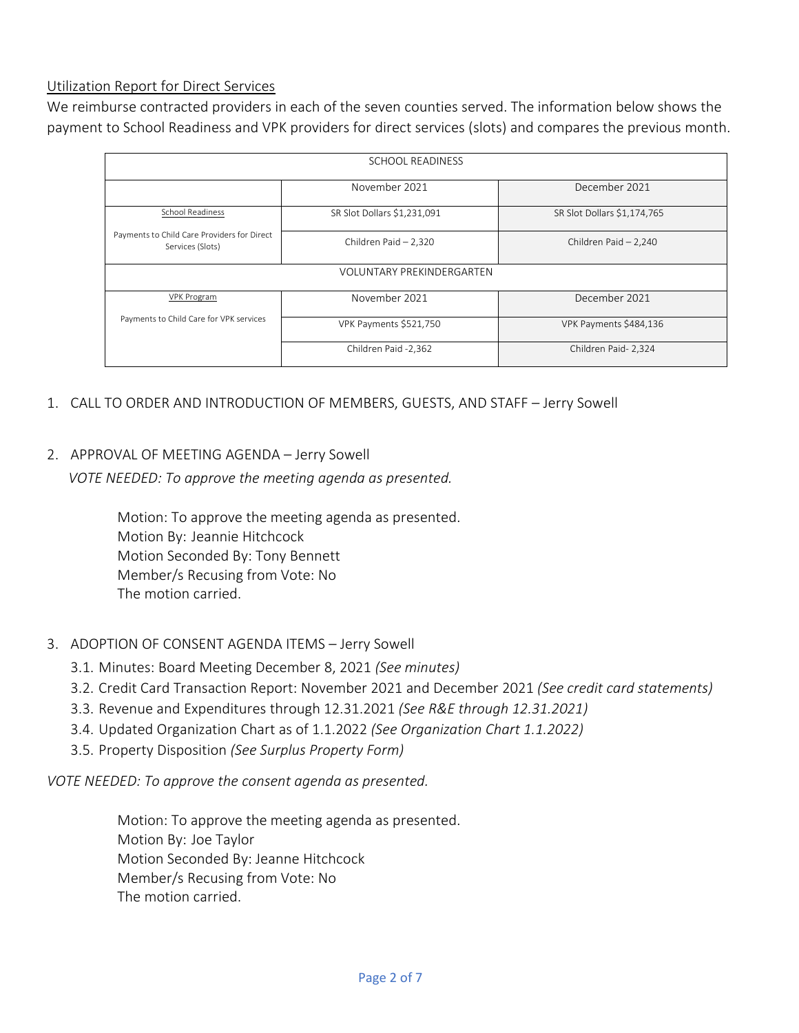#### Utilization Report for Direct Services

We reimburse contracted providers in each of the seven counties served. The information below shows the payment to School Readiness and VPK providers for direct services (slots) and compares the previous month.

| <b>SCHOOL READINESS</b>                                         |                             |                             |  |  |  |  |  |
|-----------------------------------------------------------------|-----------------------------|-----------------------------|--|--|--|--|--|
|                                                                 | November 2021               | December 2021               |  |  |  |  |  |
| <b>School Readiness</b>                                         | SR Slot Dollars \$1,231,091 | SR Slot Dollars \$1,174,765 |  |  |  |  |  |
| Payments to Child Care Providers for Direct<br>Services (Slots) | Children Paid - 2,320       | Children Paid - 2,240       |  |  |  |  |  |
| <b>VOLUNTARY PREKINDERGARTEN</b>                                |                             |                             |  |  |  |  |  |
| <b>VPK Program</b>                                              | November 2021               | December 2021               |  |  |  |  |  |
| Payments to Child Care for VPK services                         | VPK Payments \$521,750      | VPK Payments \$484,136      |  |  |  |  |  |
|                                                                 | Children Paid -2,362        | Children Paid- 2,324        |  |  |  |  |  |

- 1. CALL TO ORDER AND INTRODUCTION OF MEMBERS, GUESTS, AND STAFF Jerry Sowell
- 2. APPROVAL OF MEETING AGENDA Jerry Sowell

*VOTE NEEDED: To approve the meeting agenda as presented.*

Motion: To approve the meeting agenda as presented. Motion By: Jeannie Hitchcock Motion Seconded By: Tony Bennett Member/s Recusing from Vote: No The motion carried.

- 3. ADOPTION OF CONSENT AGENDA ITEMS Jerry Sowell
	- 3.1. Minutes: Board Meeting December 8, 2021 *(See minutes)*
	- 3.2. Credit Card Transaction Report: November 2021 and December 2021 *(See credit card statements)*
	- 3.3. Revenue and Expenditures through 12.31.2021 *(See R&E through 12.31.2021)*
	- 3.4. Updated Organization Chart as of 1.1.2022 *(See Organization Chart 1.1.2022)*
	- 3.5. Property Disposition *(See Surplus Property Form)*

*VOTE NEEDED: To approve the consent agenda as presented.*

Motion: To approve the meeting agenda as presented. Motion By: Joe Taylor Motion Seconded By: Jeanne Hitchcock Member/s Recusing from Vote: No The motion carried.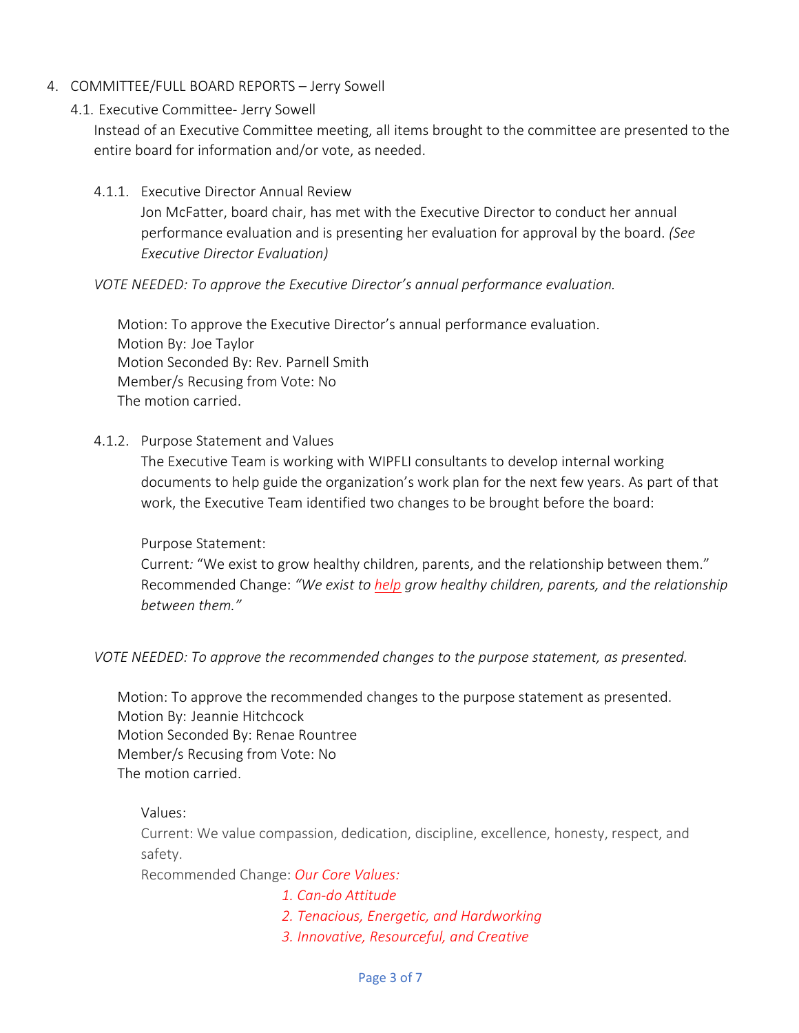- 4. COMMITTEE/FULL BOARD REPORTS Jerry Sowell
	- 4.1. Executive Committee- Jerry Sowell

Instead of an Executive Committee meeting, all items brought to the committee are presented to the entire board for information and/or vote, as needed.

4.1.1. Executive Director Annual Review

Jon McFatter, board chair, has met with the Executive Director to conduct her annual performance evaluation and is presenting her evaluation for approval by the board. *(See Executive Director Evaluation)*

#### *VOTE NEEDED: To approve the Executive Director's annual performance evaluation.*

Motion: To approve the Executive Director's annual performance evaluation. Motion By: Joe Taylor Motion Seconded By: Rev. Parnell Smith Member/s Recusing from Vote: No The motion carried.

4.1.2. Purpose Statement and Values

The Executive Team is working with WIPFLI consultants to develop internal working documents to help guide the organization's work plan for the next few years. As part of that work, the Executive Team identified two changes to be brought before the board:

#### Purpose Statement:

Current*:* "We exist to grow healthy children, parents, and the relationship between them." Recommended Change: *"We exist to help grow healthy children, parents, and the relationship between them."*

*VOTE NEEDED: To approve the recommended changes to the purpose statement, as presented.*

Motion: To approve the recommended changes to the purpose statement as presented. Motion By: Jeannie Hitchcock Motion Seconded By: Renae Rountree Member/s Recusing from Vote: No The motion carried.

Values:

Current: We value compassion, dedication, discipline, excellence, honesty, respect, and safety.

Recommended Change: *Our Core Values:*

- *1. Can-do Attitude*
	- *2. Tenacious, Energetic, and Hardworking*
	- *3. Innovative, Resourceful, and Creative*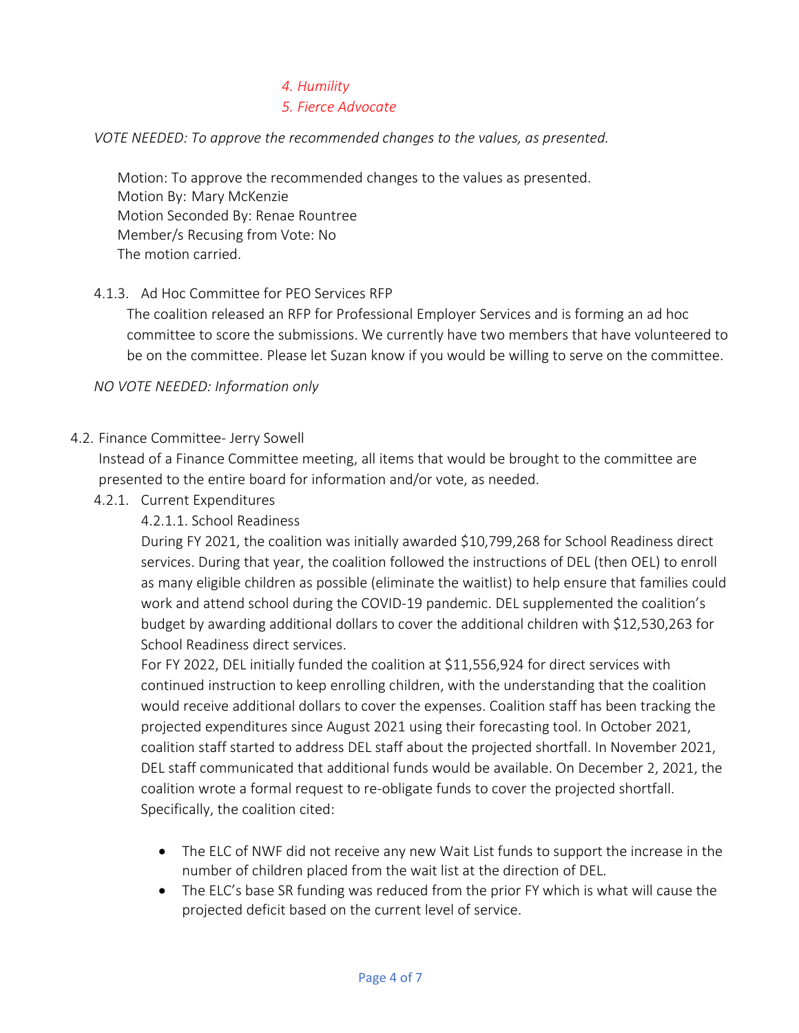# *4. Humility*

# *5. Fierce Advocate*

#### *VOTE NEEDED: To approve the recommended changes to the values, as presented.*

Motion: To approve the recommended changes to the values as presented. Motion By: Mary McKenzie Motion Seconded By: Renae Rountree Member/s Recusing from Vote: No The motion carried.

#### 4.1.3. Ad Hoc Committee for PEO Services RFP

The coalition released an RFP for Professional Employer Services and is forming an ad hoc committee to score the submissions. We currently have two members that have volunteered to be on the committee. Please let Suzan know if you would be willing to serve on the committee.

*NO VOTE NEEDED: Information only*

#### 4.2. Finance Committee- Jerry Sowell

Instead of a Finance Committee meeting, all items that would be brought to the committee are presented to the entire board for information and/or vote, as needed.

- 4.2.1. Current Expenditures
	- 4.2.1.1. School Readiness

During FY 2021, the coalition was initially awarded \$10,799,268 for School Readiness direct services. During that year, the coalition followed the instructions of DEL (then OEL) to enroll as many eligible children as possible (eliminate the waitlist) to help ensure that families could work and attend school during the COVID-19 pandemic. DEL supplemented the coalition's budget by awarding additional dollars to cover the additional children with \$12,530,263 for School Readiness direct services.

For FY 2022, DEL initially funded the coalition at \$11,556,924 for direct services with continued instruction to keep enrolling children, with the understanding that the coalition would receive additional dollars to cover the expenses. Coalition staff has been tracking the projected expenditures since August 2021 using their forecasting tool. In October 2021, coalition staff started to address DEL staff about the projected shortfall. In November 2021, DEL staff communicated that additional funds would be available. On December 2, 2021, the coalition wrote a formal request to re-obligate funds to cover the projected shortfall. Specifically, the coalition cited:

- The ELC of NWF did not receive any new Wait List funds to support the increase in the number of children placed from the wait list at the direction of DEL.
- The ELC's base SR funding was reduced from the prior FY which is what will cause the projected deficit based on the current level of service.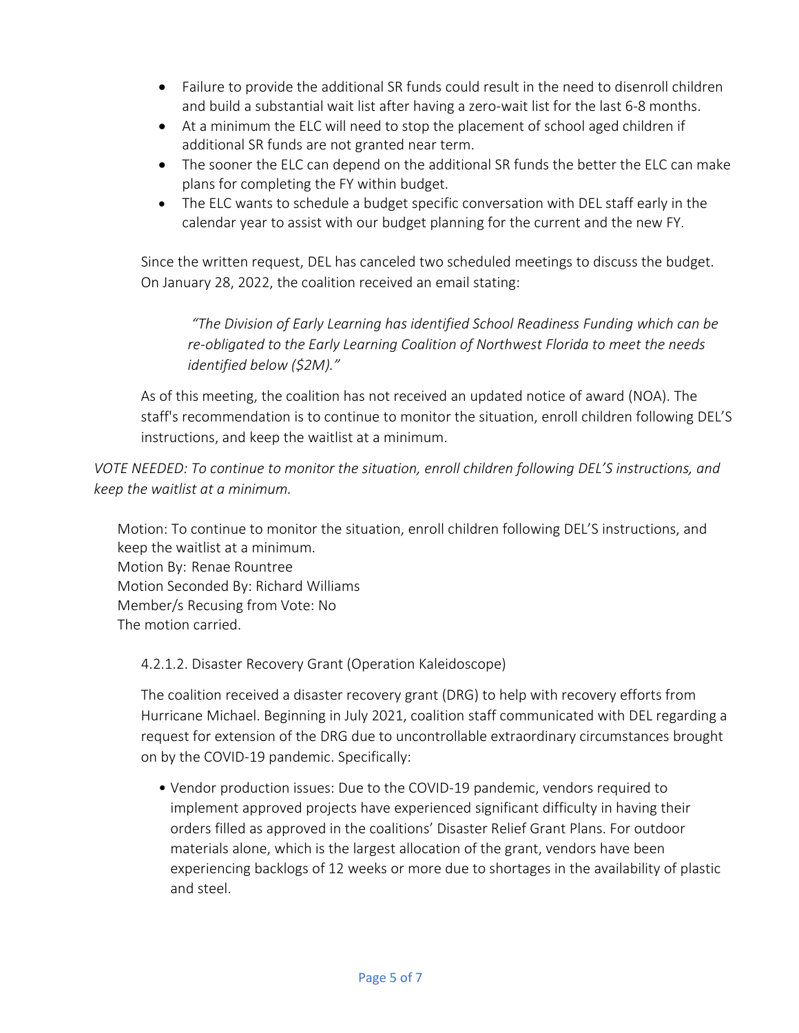- Failure to provide the additional SR funds could result in the need to disenroll children and build a substantial wait list after having a zero-wait list for the last 6-8 months.
- At a minimum the ELC will need to stop the placement of school aged children if additional SR funds are not granted near term.
- The sooner the ELC can depend on the additional SR funds the better the ELC can make plans for completing the FY within budget.
- The ELC wants to schedule a budget specific conversation with DEL staff early in the calendar year to assist with our budget planning for the current and the new FY.

Since the written request, DEL has canceled two scheduled meetings to discuss the budget. On January 28, 2022, the coalition received an email stating:

*"The Division of Early Learning has identified School Readiness Funding which can be re-obligated to the Early Learning Coalition of Northwest Florida to meet the needs identified below (\$2M)."*

As of this meeting, the coalition has not received an updated notice of award (NOA). The staff's recommendation is to continue to monitor the situation, enroll children following DEL'S instructions, and keep the waitlist at a minimum.

*VOTE NEEDED: To continue to monitor the situation, enroll children following DEL'S instructions, and keep the waitlist at a minimum.*

Motion: To continue to monitor the situation, enroll children following DEL'S instructions, and keep the waitlist at a minimum. Motion By: Renae Rountree Motion Seconded By: Richard Williams Member/s Recusing from Vote: No The motion carried.

4.2.1.2. Disaster Recovery Grant (Operation Kaleidoscope)

The coalition received a disaster recovery grant (DRG) to help with recovery efforts from Hurricane Michael. Beginning in July 2021, coalition staff communicated with DEL regarding a request for extension of the DRG due to uncontrollable extraordinary circumstances brought on by the COVID-19 pandemic. Specifically:

• Vendor production issues: Due to the COVID-19 pandemic, vendors required to implement approved projects have experienced significant difficulty in having their orders filled as approved in the coalitions' Disaster Relief Grant Plans. For outdoor materials alone, which is the largest allocation of the grant, vendors have been experiencing backlogs of 12 weeks or more due to shortages in the availability of plastic and steel.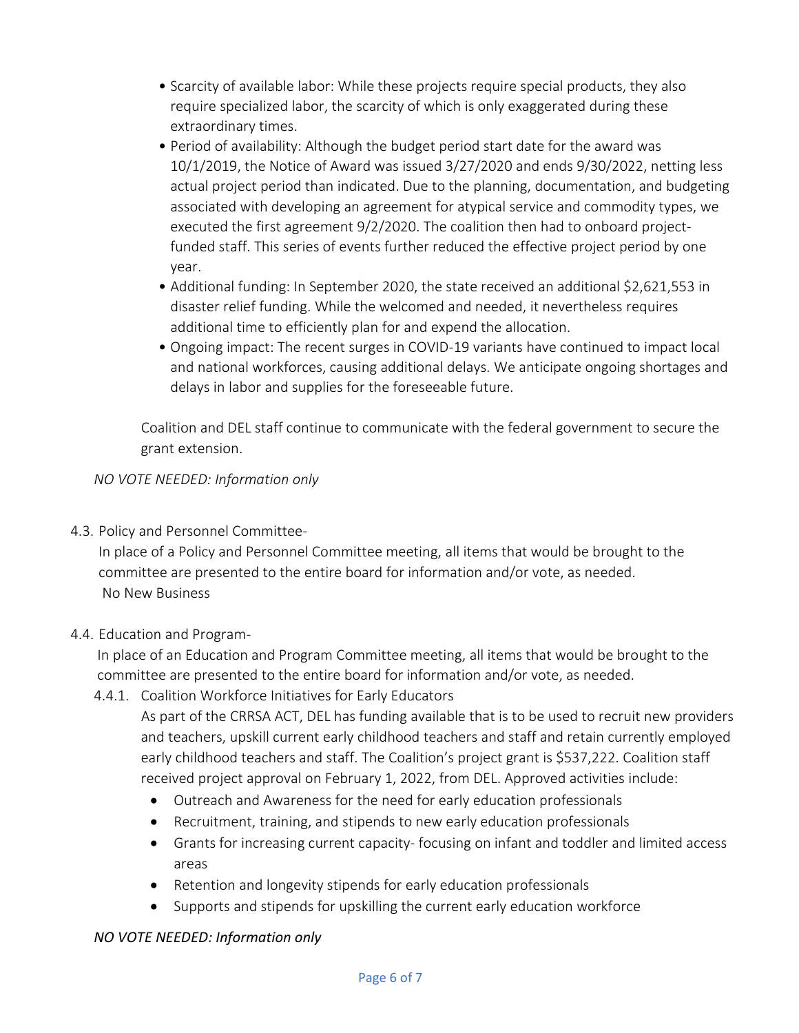- Scarcity of available labor: While these projects require special products, they also require specialized labor, the scarcity of which is only exaggerated during these extraordinary times.
- Period of availability: Although the budget period start date for the award was 10/1/2019, the Notice of Award was issued 3/27/2020 and ends 9/30/2022, netting less actual project period than indicated. Due to the planning, documentation, and budgeting associated with developing an agreement for atypical service and commodity types, we executed the first agreement 9/2/2020. The coalition then had to onboard projectfunded staff. This series of events further reduced the effective project period by one year.
- Additional funding: In September 2020, the state received an additional \$2,621,553 in disaster relief funding. While the welcomed and needed, it nevertheless requires additional time to efficiently plan for and expend the allocation.
- Ongoing impact: The recent surges in COVID-19 variants have continued to impact local and national workforces, causing additional delays. We anticipate ongoing shortages and delays in labor and supplies for the foreseeable future.

Coalition and DEL staff continue to communicate with the federal government to secure the grant extension.

*NO VOTE NEEDED: Information only*

4.3. Policy and Personnel Committee-

In place of a Policy and Personnel Committee meeting, all items that would be brought to the committee are presented to the entire board for information and/or vote, as needed. No New Business

# 4.4. Education and Program-

In place of an Education and Program Committee meeting, all items that would be brought to the committee are presented to the entire board for information and/or vote, as needed.

4.4.1. Coalition Workforce Initiatives for Early Educators

As part of the CRRSA ACT, DEL has funding available that is to be used to recruit new providers and teachers, upskill current early childhood teachers and staff and retain currently employed early childhood teachers and staff. The Coalition's project grant is \$537,222. Coalition staff received project approval on February 1, 2022, from DEL. Approved activities include:

- Outreach and Awareness for the need for early education professionals
- Recruitment, training, and stipends to new early education professionals
- Grants for increasing current capacity- focusing on infant and toddler and limited access areas
- Retention and longevity stipends for early education professionals
- Supports and stipends for upskilling the current early education workforce

# *NO VOTE NEEDED: Information only*